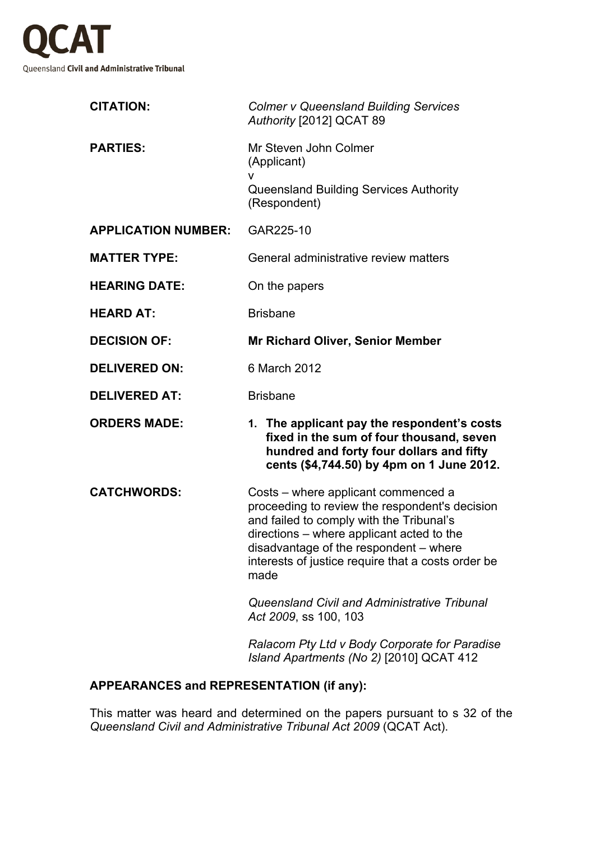

| <b>CITATION:</b>           | <b>Colmer v Queensland Building Services</b><br>Authority [2012] QCAT 89                                                                                                                                                                                                               |
|----------------------------|----------------------------------------------------------------------------------------------------------------------------------------------------------------------------------------------------------------------------------------------------------------------------------------|
| <b>PARTIES:</b>            | Mr Steven John Colmer<br>(Applicant)<br>v<br>Queensland Building Services Authority<br>(Respondent)                                                                                                                                                                                    |
| <b>APPLICATION NUMBER:</b> | GAR225-10                                                                                                                                                                                                                                                                              |
| <b>MATTER TYPE:</b>        | General administrative review matters                                                                                                                                                                                                                                                  |
| <b>HEARING DATE:</b>       | On the papers                                                                                                                                                                                                                                                                          |
| <b>HEARD AT:</b>           | <b>Brisbane</b>                                                                                                                                                                                                                                                                        |
| <b>DECISION OF:</b>        | <b>Mr Richard Oliver, Senior Member</b>                                                                                                                                                                                                                                                |
| <b>DELIVERED ON:</b>       | 6 March 2012                                                                                                                                                                                                                                                                           |
| <b>DELIVERED AT:</b>       | <b>Brisbane</b>                                                                                                                                                                                                                                                                        |
| <b>ORDERS MADE:</b>        | 1. The applicant pay the respondent's costs<br>fixed in the sum of four thousand, seven<br>hundred and forty four dollars and fifty<br>cents (\$4,744.50) by 4pm on 1 June 2012.                                                                                                       |
| <b>CATCHWORDS:</b>         | Costs – where applicant commenced a<br>proceeding to review the respondent's decision<br>and failed to comply with the Tribunal's<br>directions – where applicant acted to the<br>disadvantage of the respondent – where<br>interests of justice require that a costs order be<br>made |
|                            | Queensland Civil and Administrative Tribunal<br>Act 2009, ss 100, 103                                                                                                                                                                                                                  |
|                            | Ralacom Pty Ltd v Body Corporate for Paradise                                                                                                                                                                                                                                          |

## **APPEARANCES and REPRESENTATION (if any):**

This matter was heard and determined on the papers pursuant to s 32 of the *Queensland Civil and Administrative Tribunal Act 2009* (QCAT Act).

*Island Apartments (No 2)* [2010] QCAT 412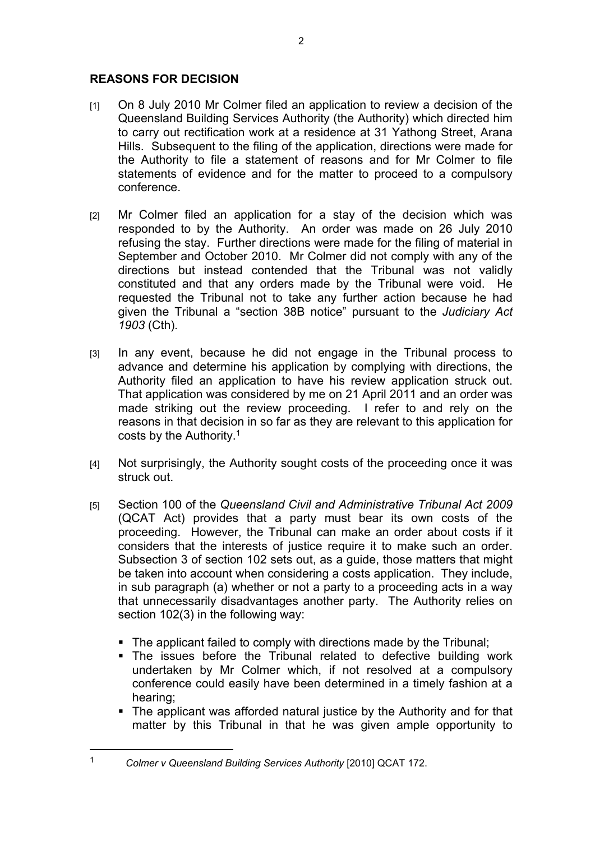## **REASONS FOR DECISION**

- [1] On 8 July 2010 Mr Colmer filed an application to review a decision of the Queensland Building Services Authority (the Authority) which directed him to carry out rectification work at a residence at 31 Yathong Street, Arana Hills. Subsequent to the filing of the application, directions were made for the Authority to file a statement of reasons and for Mr Colmer to file statements of evidence and for the matter to proceed to a compulsory conference.
- [2] Mr Colmer filed an application for a stay of the decision which was responded to by the Authority. An order was made on 26 July 2010 refusing the stay. Further directions were made for the filing of material in September and October 2010. Mr Colmer did not comply with any of the directions but instead contended that the Tribunal was not validly constituted and that any orders made by the Tribunal were void. He requested the Tribunal not to take any further action because he had given the Tribunal a "section 38B notice" pursuant to the *Judiciary Act 1903* (Cth)*.*
- [3] In any event, because he did not engage in the Tribunal process to advance and determine his application by complying with directions, the Authority filed an application to have his review application struck out. That application was considered by me on 21 April 2011 and an order was made striking out the review proceeding. I refer to and rely on the reasons in that decision in so far as they are relevant to this application for costs by the Authority.<sup>1</sup>
- [4] Not surprisingly, the Authority sought costs of the proceeding once it was struck out.
- [5] Section 100 of the *Queensland Civil and Administrative Tribunal Act 2009* (QCAT Act) provides that a party must bear its own costs of the proceeding. However, the Tribunal can make an order about costs if it considers that the interests of justice require it to make such an order. Subsection 3 of section 102 sets out, as a guide, those matters that might be taken into account when considering a costs application. They include, in sub paragraph (a) whether or not a party to a proceeding acts in a way that unnecessarily disadvantages another party. The Authority relies on section 102(3) in the following way:
	- The applicant failed to comply with directions made by the Tribunal:
	- The issues before the Tribunal related to defective building work undertaken by Mr Colmer which, if not resolved at a compulsory conference could easily have been determined in a timely fashion at a hearing;
	- The applicant was afforded natural justice by the Authority and for that matter by this Tribunal in that he was given ample opportunity to

<sup>1</sup> *Colmer v Queensland Building Services Authority* [2010] QCAT 172.